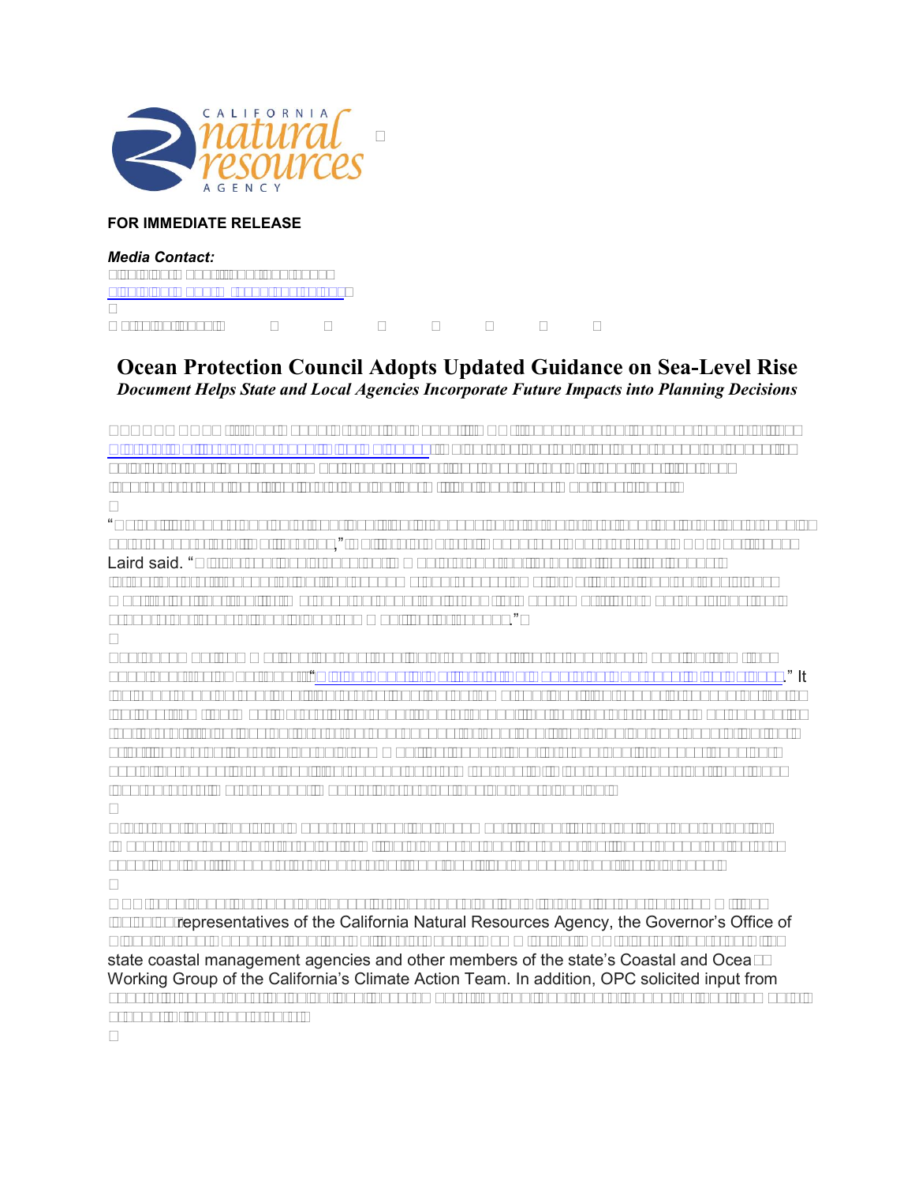

## **FOR IMMEDIATE RELEASE**

*Media Contact:*  Lisa Lien-Mager, (916) 653-9402 [Lisa.Lien-Mager@resources.ca.gov](mailto:Lisa.Lien-Mager@resources.ca.gov)

March 14, 2018

## **Ocean Protection Council Adopts Updated Guidance on Sea-Level Rise**  *Document Helps State and Local Agencies Incorporate Future Impacts into Planning Decisions*

SACRAMENTO -- The Ocean Protection Council (OPC) today adopted the 2018 update of the [State of California Sea-Level Rise Guidance,](http://www.opc.ca.gov/webmaster/ftp/pdf/agenda_items/20180314/Item3_Exhibit-A_OPC_SLR_Guidance-rd3.pdf) which provides bold, science-based guidance to help state and local governments analyze the risks associated with sea-level rise and incorporate sea-level rise into planning, permitting, and investment decisions.

"Scientific understanding of sea-level rise is advancing at a rapid rate, and the latest data should be a concern to all Californians," California Natural Resources Secretary and OPC Chair John Laird said. "Rising sea levels pose an immediate and real threat to lives, livelihoods, infrastructure, transportation, the economy and ecosystems in California, and our decisions must reflect that reality. We have an opportunity now to make smart, informed decisions that prepare our coastal and inland communities for change."

The document summarizes the best available sea-level rise science and modeling from the 2017 peer-reviewed report, "[Rising Seas in California: An Update on Sea-Level Rise Science](http://www.opc.ca.gov/webmaster/ftp/pdf/docs/rising-seas-in-california-an-update-on-sea-level-rise-science.pdf)." It includes updated sea-level rise projections, an extreme sea-level rise scenario caused by rapid ice loss from the West Antarctic ice sheet, and a recognition that the projections may change in the future. It also lays out preferred approaches for sea-level rise planning and adaptation that prioritize protection of vulnerable communities, coastal habitats and public access; consider acute increases in sea-level rise caused by storm surges, El Niño events and king tides; and incorporate climate change impacts into project design and planning.

State and local decision makers can use the document to identify projections and potential impacts and develop strategies to mitigate hazards and increase resiliency based on factors such location, lifespan of a given project, sea-level rise exposure and risk tolerance.

OPC developed the 2018 guidance in close coordination with a policy advisory committee including representatives of the California Natural Resources Agency, the Governor's Office of Planning and Research, and the California Energy Commission. OPC also collaborated with state coastal management agencies and other members of the state's Coastal and Ocean Working Group of the California's Climate Action Team. In addition, OPC solicited input from coastal stakeholders including local governments, regional and federal agencies, environmental groups, Tribes and others.